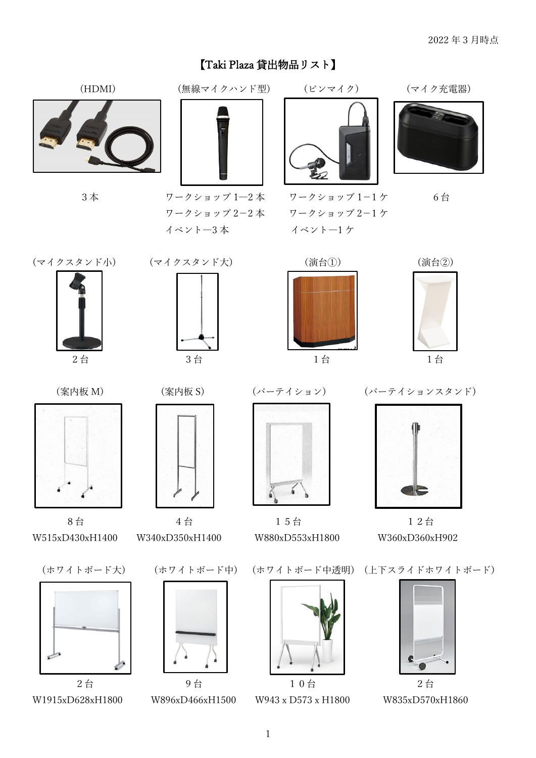## 【Taki Plaza 貸出物品リスト】







 ワークショップ 2-2 本 ワークショップ 2-1 ケ イベント―3 本 イベント―1 ケ



3本 ワークショップ 1–2本 ワークショップ 1–1ケ 6台













W515xD430xH1400 W340xD350xH1400 W880xD553xH1800 W360xD360xH902







8台 4台 15台 12台



(ホワイトボード大) (ホワイトボード中) (ホワイトボード中透明) (上下スライドホワイトボード)



2台 9台 10台 2台 2台 W1915xD628xH1800 W896xD466xH1500 W943 x D573 x H1800 W835xD570xH1860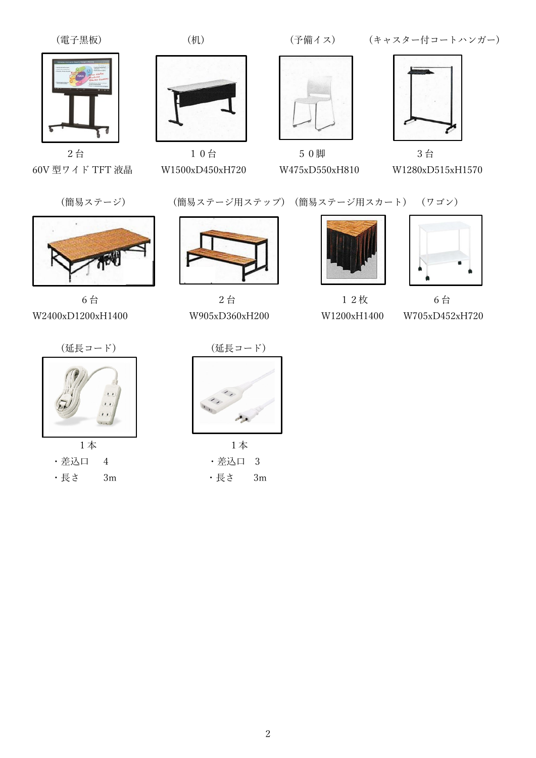

60V 型ワイド TFT 液晶 W1500xD450xH720 W475xD550xH810 W1280xD515xH1570



W2400xD1200xH1400 W905xD360xH200 W1200xH1400



(電子黒板) (机) (サイボイス) (キャスター付コートハンガー)



 $2$ 台 10台 50脚 3台



(簡易ステージ) (簡易ステージ用ステップ) (簡易ステージ用スカート) (ワゴン)



6台 2台 2台 12枚





6台 W705xD452xH720





1 本 1 本 · 差込口 4 · · · · · · 差込口 3 ・長さ 3m ・長さ 3m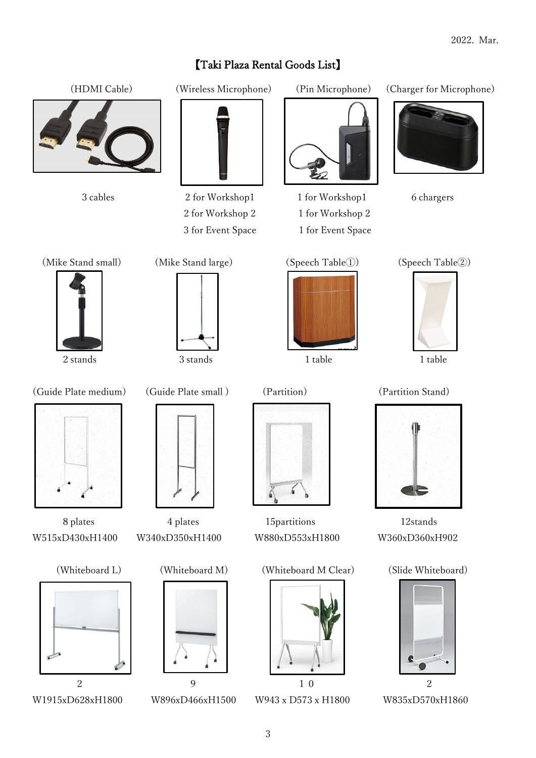## 【Taki Plaza Rental Goods List】









3 cables 2 for Workshop1 1 for Workshop1 6 chargers 2 for Workshop 2 1 for Workshop 2 3 for Event Space 1 for Event Space













W515xD430xH1400 W340xD350xH1400 W880xD553xH1800 W360xD360xH902











8 plates 4 plates 15 partitions 12 stands

```
(Whiteboard L) (Whiteboard M) (Whiteboard M Clear) (Slide Whiteboard)
```






2 stands 3 stands 1 table 1 table 1 table





W1915xD628xH1800 W896xD466xH1500 W943 x D573 x H1800 W835xD570xH1860